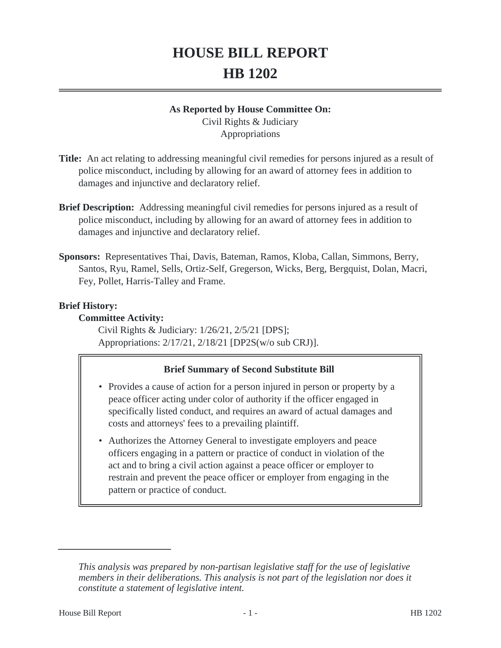# **HOUSE BILL REPORT HB 1202**

#### **As Reported by House Committee On:**

Civil Rights & Judiciary Appropriations

- **Title:** An act relating to addressing meaningful civil remedies for persons injured as a result of police misconduct, including by allowing for an award of attorney fees in addition to damages and injunctive and declaratory relief.
- **Brief Description:** Addressing meaningful civil remedies for persons injured as a result of police misconduct, including by allowing for an award of attorney fees in addition to damages and injunctive and declaratory relief.
- **Sponsors:** Representatives Thai, Davis, Bateman, Ramos, Kloba, Callan, Simmons, Berry, Santos, Ryu, Ramel, Sells, Ortiz-Self, Gregerson, Wicks, Berg, Bergquist, Dolan, Macri, Fey, Pollet, Harris-Talley and Frame.

## **Brief History:**

## **Committee Activity:**

Civil Rights & Judiciary: 1/26/21, 2/5/21 [DPS]; Appropriations: 2/17/21, 2/18/21 [DP2S(w/o sub CRJ)].

# **Brief Summary of Second Substitute Bill**

- Provides a cause of action for a person injured in person or property by a peace officer acting under color of authority if the officer engaged in specifically listed conduct, and requires an award of actual damages and costs and attorneys' fees to a prevailing plaintiff.
- Authorizes the Attorney General to investigate employers and peace officers engaging in a pattern or practice of conduct in violation of the act and to bring a civil action against a peace officer or employer to restrain and prevent the peace officer or employer from engaging in the pattern or practice of conduct.

*This analysis was prepared by non-partisan legislative staff for the use of legislative members in their deliberations. This analysis is not part of the legislation nor does it constitute a statement of legislative intent.*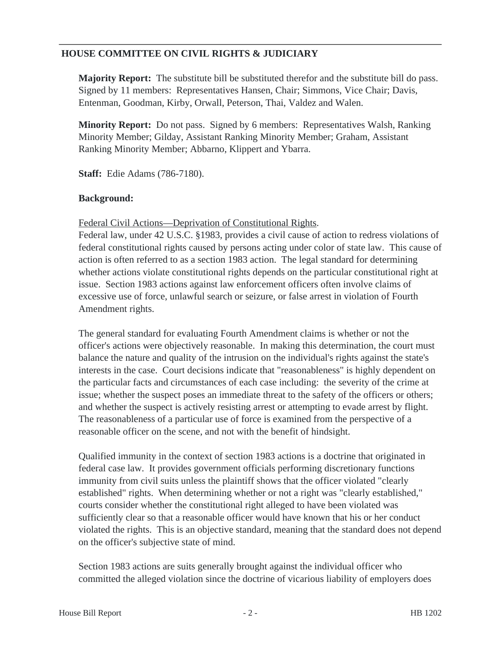## **HOUSE COMMITTEE ON CIVIL RIGHTS & JUDICIARY**

**Majority Report:** The substitute bill be substituted therefor and the substitute bill do pass. Signed by 11 members: Representatives Hansen, Chair; Simmons, Vice Chair; Davis, Entenman, Goodman, Kirby, Orwall, Peterson, Thai, Valdez and Walen.

**Minority Report:** Do not pass. Signed by 6 members: Representatives Walsh, Ranking Minority Member; Gilday, Assistant Ranking Minority Member; Graham, Assistant Ranking Minority Member; Abbarno, Klippert and Ybarra.

**Staff:** Edie Adams (786-7180).

#### **Background:**

Federal Civil Actions—Deprivation of Constitutional Rights.

Federal law, under 42 U.S.C. §1983, provides a civil cause of action to redress violations of federal constitutional rights caused by persons acting under color of state law. This cause of action is often referred to as a section 1983 action. The legal standard for determining whether actions violate constitutional rights depends on the particular constitutional right at issue. Section 1983 actions against law enforcement officers often involve claims of excessive use of force, unlawful search or seizure, or false arrest in violation of Fourth Amendment rights.

The general standard for evaluating Fourth Amendment claims is whether or not the officer's actions were objectively reasonable. In making this determination, the court must balance the nature and quality of the intrusion on the individual's rights against the state's interests in the case. Court decisions indicate that "reasonableness" is highly dependent on the particular facts and circumstances of each case including: the severity of the crime at issue; whether the suspect poses an immediate threat to the safety of the officers or others; and whether the suspect is actively resisting arrest or attempting to evade arrest by flight. The reasonableness of a particular use of force is examined from the perspective of a reasonable officer on the scene, and not with the benefit of hindsight.

Qualified immunity in the context of section 1983 actions is a doctrine that originated in federal case law. It provides government officials performing discretionary functions immunity from civil suits unless the plaintiff shows that the officer violated "clearly established" rights. When determining whether or not a right was "clearly established," courts consider whether the constitutional right alleged to have been violated was sufficiently clear so that a reasonable officer would have known that his or her conduct violated the rights. This is an objective standard, meaning that the standard does not depend on the officer's subjective state of mind.

Section 1983 actions are suits generally brought against the individual officer who committed the alleged violation since the doctrine of vicarious liability of employers does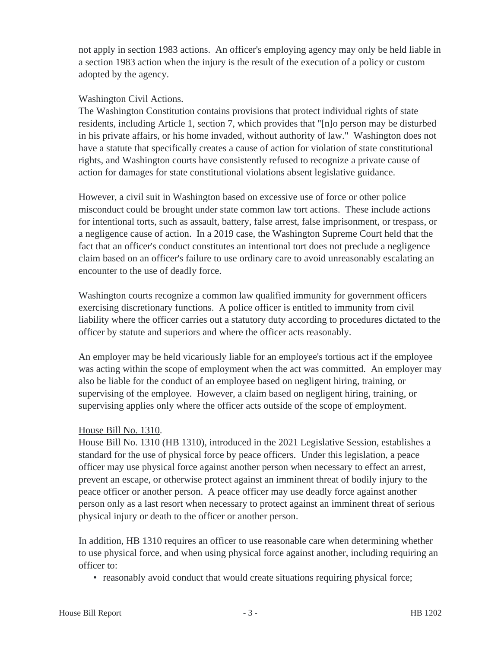not apply in section 1983 actions. An officer's employing agency may only be held liable in a section 1983 action when the injury is the result of the execution of a policy or custom adopted by the agency.

#### Washington Civil Actions.

The Washington Constitution contains provisions that protect individual rights of state residents, including Article 1, section 7, which provides that "[n]o person may be disturbed in his private affairs, or his home invaded, without authority of law." Washington does not have a statute that specifically creates a cause of action for violation of state constitutional rights, and Washington courts have consistently refused to recognize a private cause of action for damages for state constitutional violations absent legislative guidance.

However, a civil suit in Washington based on excessive use of force or other police misconduct could be brought under state common law tort actions. These include actions for intentional torts, such as assault, battery, false arrest, false imprisonment, or trespass, or a negligence cause of action. In a 2019 case, the Washington Supreme Court held that the fact that an officer's conduct constitutes an intentional tort does not preclude a negligence claim based on an officer's failure to use ordinary care to avoid unreasonably escalating an encounter to the use of deadly force.

Washington courts recognize a common law qualified immunity for government officers exercising discretionary functions. A police officer is entitled to immunity from civil liability where the officer carries out a statutory duty according to procedures dictated to the officer by statute and superiors and where the officer acts reasonably.

An employer may be held vicariously liable for an employee's tortious act if the employee was acting within the scope of employment when the act was committed. An employer may also be liable for the conduct of an employee based on negligent hiring, training, or supervising of the employee. However, a claim based on negligent hiring, training, or supervising applies only where the officer acts outside of the scope of employment.

#### House Bill No. 1310.

House Bill No. 1310 (HB 1310), introduced in the 2021 Legislative Session, establishes a standard for the use of physical force by peace officers. Under this legislation, a peace officer may use physical force against another person when necessary to effect an arrest, prevent an escape, or otherwise protect against an imminent threat of bodily injury to the peace officer or another person. A peace officer may use deadly force against another person only as a last resort when necessary to protect against an imminent threat of serious physical injury or death to the officer or another person.

In addition, HB 1310 requires an officer to use reasonable care when determining whether to use physical force, and when using physical force against another, including requiring an officer to:

• reasonably avoid conduct that would create situations requiring physical force;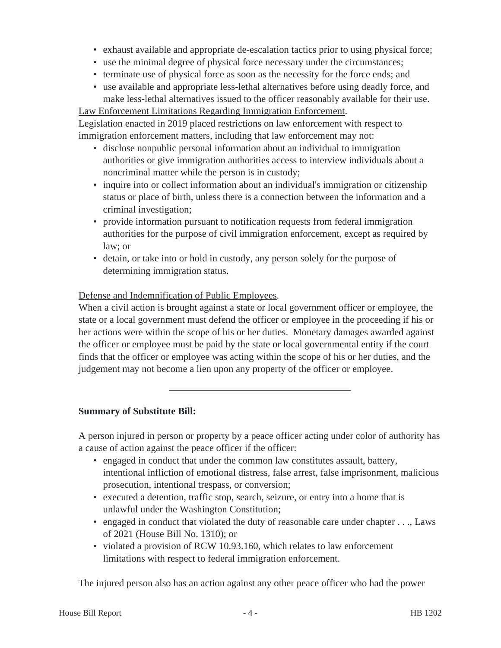- exhaust available and appropriate de-escalation tactics prior to using physical force;
- use the minimal degree of physical force necessary under the circumstances;
- terminate use of physical force as soon as the necessity for the force ends; and
- use available and appropriate less-lethal alternatives before using deadly force, and make less-lethal alternatives issued to the officer reasonably available for their use.

Law Enforcement Limitations Regarding Immigration Enforcement.

Legislation enacted in 2019 placed restrictions on law enforcement with respect to immigration enforcement matters, including that law enforcement may not:

- disclose nonpublic personal information about an individual to immigration authorities or give immigration authorities access to interview individuals about a noncriminal matter while the person is in custody;
- inquire into or collect information about an individual's immigration or citizenship status or place of birth, unless there is a connection between the information and a criminal investigation;
- provide information pursuant to notification requests from federal immigration authorities for the purpose of civil immigration enforcement, except as required by law; or
- detain, or take into or hold in custody, any person solely for the purpose of determining immigration status.

## Defense and Indemnification of Public Employees.

When a civil action is brought against a state or local government officer or employee, the state or a local government must defend the officer or employee in the proceeding if his or her actions were within the scope of his or her duties. Monetary damages awarded against the officer or employee must be paid by the state or local governmental entity if the court finds that the officer or employee was acting within the scope of his or her duties, and the judgement may not become a lien upon any property of the officer or employee.

#### **Summary of Substitute Bill:**

A person injured in person or property by a peace officer acting under color of authority has a cause of action against the peace officer if the officer:

- engaged in conduct that under the common law constitutes assault, battery, intentional infliction of emotional distress, false arrest, false imprisonment, malicious prosecution, intentional trespass, or conversion;
- executed a detention, traffic stop, search, seizure, or entry into a home that is unlawful under the Washington Constitution;
- engaged in conduct that violated the duty of reasonable care under chapter . . ., Laws of 2021 (House Bill No. 1310); or
- violated a provision of RCW 10.93.160, which relates to law enforcement limitations with respect to federal immigration enforcement.

The injured person also has an action against any other peace officer who had the power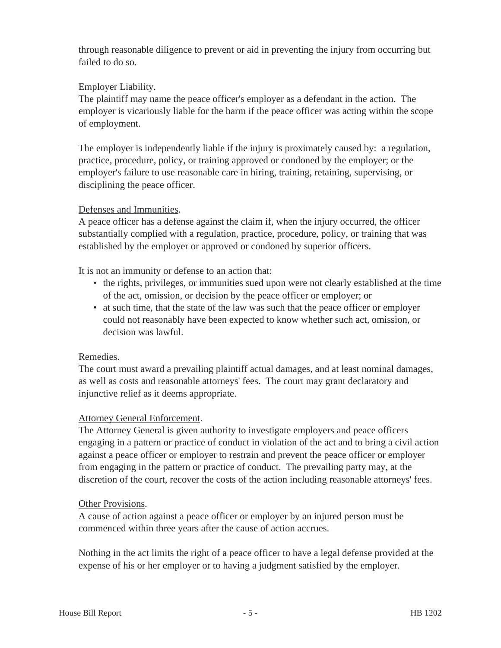through reasonable diligence to prevent or aid in preventing the injury from occurring but failed to do so.

# Employer Liability.

The plaintiff may name the peace officer's employer as a defendant in the action. The employer is vicariously liable for the harm if the peace officer was acting within the scope of employment.

The employer is independently liable if the injury is proximately caused by: a regulation, practice, procedure, policy, or training approved or condoned by the employer; or the employer's failure to use reasonable care in hiring, training, retaining, supervising, or disciplining the peace officer.

## Defenses and Immunities.

A peace officer has a defense against the claim if, when the injury occurred, the officer substantially complied with a regulation, practice, procedure, policy, or training that was established by the employer or approved or condoned by superior officers.

It is not an immunity or defense to an action that:

- the rights, privileges, or immunities sued upon were not clearly established at the time of the act, omission, or decision by the peace officer or employer; or
- at such time, that the state of the law was such that the peace officer or employer could not reasonably have been expected to know whether such act, omission, or decision was lawful.

# Remedies.

The court must award a prevailing plaintiff actual damages, and at least nominal damages, as well as costs and reasonable attorneys' fees. The court may grant declaratory and injunctive relief as it deems appropriate.

# Attorney General Enforcement.

The Attorney General is given authority to investigate employers and peace officers engaging in a pattern or practice of conduct in violation of the act and to bring a civil action against a peace officer or employer to restrain and prevent the peace officer or employer from engaging in the pattern or practice of conduct. The prevailing party may, at the discretion of the court, recover the costs of the action including reasonable attorneys' fees.

#### **Other Provisions.**

A cause of action against a peace officer or employer by an injured person must be commenced within three years after the cause of action accrues.

Nothing in the act limits the right of a peace officer to have a legal defense provided at the expense of his or her employer or to having a judgment satisfied by the employer.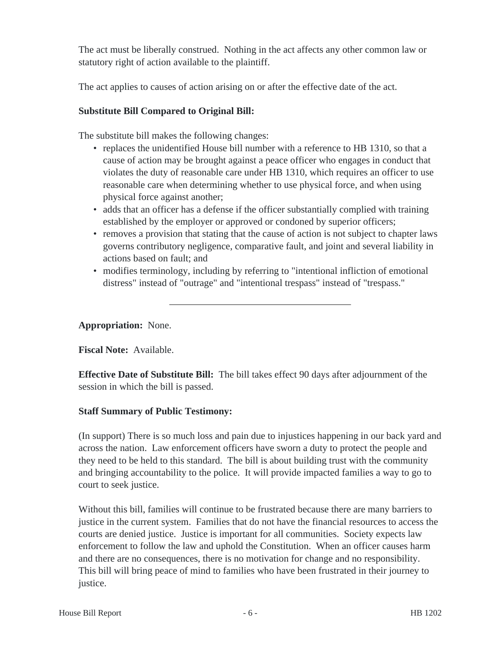The act must be liberally construed. Nothing in the act affects any other common law or statutory right of action available to the plaintiff.

The act applies to causes of action arising on or after the effective date of the act.

# **Substitute Bill Compared to Original Bill:**

The substitute bill makes the following changes:

- replaces the unidentified House bill number with a reference to HB 1310, so that a cause of action may be brought against a peace officer who engages in conduct that violates the duty of reasonable care under HB 1310, which requires an officer to use reasonable care when determining whether to use physical force, and when using physical force against another;
- adds that an officer has a defense if the officer substantially complied with training established by the employer or approved or condoned by superior officers;
- removes a provision that stating that the cause of action is not subject to chapter laws governs contributory negligence, comparative fault, and joint and several liability in actions based on fault; and
- modifies terminology, including by referring to "intentional infliction of emotional distress" instead of "outrage" and "intentional trespass" instead of "trespass."

**Appropriation:** None.

**Fiscal Note:** Available.

**Effective Date of Substitute Bill:** The bill takes effect 90 days after adjournment of the session in which the bill is passed.

# **Staff Summary of Public Testimony:**

(In support) There is so much loss and pain due to injustices happening in our back yard and across the nation. Law enforcement officers have sworn a duty to protect the people and they need to be held to this standard. The bill is about building trust with the community and bringing accountability to the police. It will provide impacted families a way to go to court to seek justice.

Without this bill, families will continue to be frustrated because there are many barriers to justice in the current system. Families that do not have the financial resources to access the courts are denied justice. Justice is important for all communities. Society expects law enforcement to follow the law and uphold the Constitution. When an officer causes harm and there are no consequences, there is no motivation for change and no responsibility. This bill will bring peace of mind to families who have been frustrated in their journey to justice.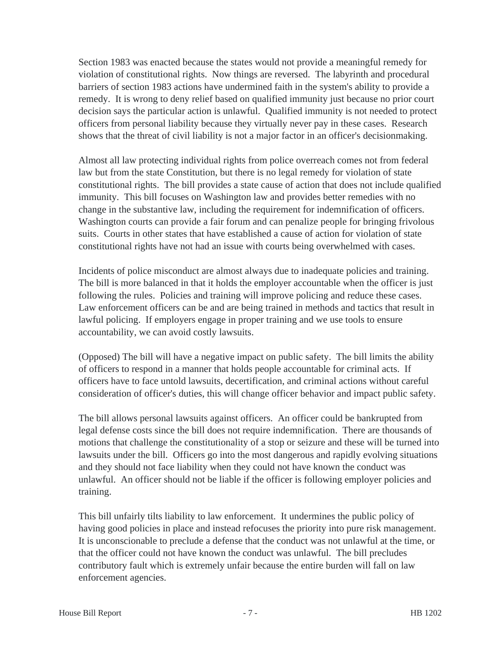Section 1983 was enacted because the states would not provide a meaningful remedy for violation of constitutional rights. Now things are reversed. The labyrinth and procedural barriers of section 1983 actions have undermined faith in the system's ability to provide a remedy. It is wrong to deny relief based on qualified immunity just because no prior court decision says the particular action is unlawful. Qualified immunity is not needed to protect officers from personal liability because they virtually never pay in these cases. Research shows that the threat of civil liability is not a major factor in an officer's decisionmaking.

Almost all law protecting individual rights from police overreach comes not from federal law but from the state Constitution, but there is no legal remedy for violation of state constitutional rights. The bill provides a state cause of action that does not include qualified immunity. This bill focuses on Washington law and provides better remedies with no change in the substantive law, including the requirement for indemnification of officers. Washington courts can provide a fair forum and can penalize people for bringing frivolous suits. Courts in other states that have established a cause of action for violation of state constitutional rights have not had an issue with courts being overwhelmed with cases.

Incidents of police misconduct are almost always due to inadequate policies and training. The bill is more balanced in that it holds the employer accountable when the officer is just following the rules. Policies and training will improve policing and reduce these cases. Law enforcement officers can be and are being trained in methods and tactics that result in lawful policing. If employers engage in proper training and we use tools to ensure accountability, we can avoid costly lawsuits.

(Opposed) The bill will have a negative impact on public safety. The bill limits the ability of officers to respond in a manner that holds people accountable for criminal acts. If officers have to face untold lawsuits, decertification, and criminal actions without careful consideration of officer's duties, this will change officer behavior and impact public safety.

The bill allows personal lawsuits against officers. An officer could be bankrupted from legal defense costs since the bill does not require indemnification. There are thousands of motions that challenge the constitutionality of a stop or seizure and these will be turned into lawsuits under the bill. Officers go into the most dangerous and rapidly evolving situations and they should not face liability when they could not have known the conduct was unlawful. An officer should not be liable if the officer is following employer policies and training.

This bill unfairly tilts liability to law enforcement. It undermines the public policy of having good policies in place and instead refocuses the priority into pure risk management. It is unconscionable to preclude a defense that the conduct was not unlawful at the time, or that the officer could not have known the conduct was unlawful. The bill precludes contributory fault which is extremely unfair because the entire burden will fall on law enforcement agencies.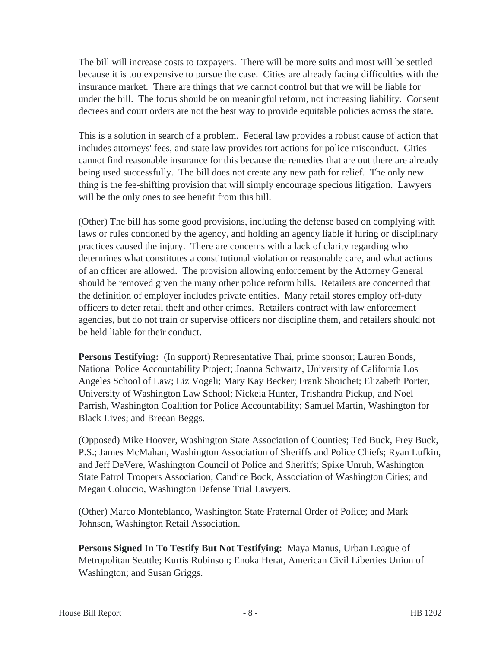The bill will increase costs to taxpayers. There will be more suits and most will be settled because it is too expensive to pursue the case. Cities are already facing difficulties with the insurance market. There are things that we cannot control but that we will be liable for under the bill. The focus should be on meaningful reform, not increasing liability. Consent decrees and court orders are not the best way to provide equitable policies across the state.

This is a solution in search of a problem. Federal law provides a robust cause of action that includes attorneys' fees, and state law provides tort actions for police misconduct. Cities cannot find reasonable insurance for this because the remedies that are out there are already being used successfully. The bill does not create any new path for relief. The only new thing is the fee-shifting provision that will simply encourage specious litigation. Lawyers will be the only ones to see benefit from this bill.

(Other) The bill has some good provisions, including the defense based on complying with laws or rules condoned by the agency, and holding an agency liable if hiring or disciplinary practices caused the injury. There are concerns with a lack of clarity regarding who determines what constitutes a constitutional violation or reasonable care, and what actions of an officer are allowed. The provision allowing enforcement by the Attorney General should be removed given the many other police reform bills. Retailers are concerned that the definition of employer includes private entities. Many retail stores employ off-duty officers to deter retail theft and other crimes. Retailers contract with law enforcement agencies, but do not train or supervise officers nor discipline them, and retailers should not be held liable for their conduct.

**Persons Testifying:** (In support) Representative Thai, prime sponsor; Lauren Bonds, National Police Accountability Project; Joanna Schwartz, University of California Los Angeles School of Law; Liz Vogeli; Mary Kay Becker; Frank Shoichet; Elizabeth Porter, University of Washington Law School; Nickeia Hunter, Trishandra Pickup, and Noel Parrish, Washington Coalition for Police Accountability; Samuel Martin, Washington for Black Lives; and Breean Beggs.

(Opposed) Mike Hoover, Washington State Association of Counties; Ted Buck, Frey Buck, P.S.; James McMahan, Washington Association of Sheriffs and Police Chiefs; Ryan Lufkin, and Jeff DeVere, Washington Council of Police and Sheriffs; Spike Unruh, Washington State Patrol Troopers Association; Candice Bock, Association of Washington Cities; and Megan Coluccio, Washington Defense Trial Lawyers.

(Other) Marco Monteblanco, Washington State Fraternal Order of Police; and Mark Johnson, Washington Retail Association.

**Persons Signed In To Testify But Not Testifying:** Maya Manus, Urban League of Metropolitan Seattle; Kurtis Robinson; Enoka Herat, American Civil Liberties Union of Washington; and Susan Griggs.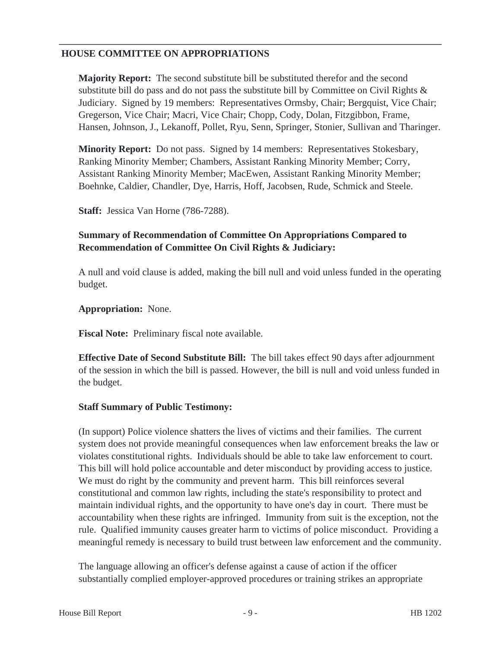## **HOUSE COMMITTEE ON APPROPRIATIONS**

**Majority Report:** The second substitute bill be substituted therefor and the second substitute bill do pass and do not pass the substitute bill by Committee on Civil Rights & Judiciary. Signed by 19 members: Representatives Ormsby, Chair; Bergquist, Vice Chair; Gregerson, Vice Chair; Macri, Vice Chair; Chopp, Cody, Dolan, Fitzgibbon, Frame, Hansen, Johnson, J., Lekanoff, Pollet, Ryu, Senn, Springer, Stonier, Sullivan and Tharinger.

**Minority Report:** Do not pass. Signed by 14 members: Representatives Stokesbary, Ranking Minority Member; Chambers, Assistant Ranking Minority Member; Corry, Assistant Ranking Minority Member; MacEwen, Assistant Ranking Minority Member; Boehnke, Caldier, Chandler, Dye, Harris, Hoff, Jacobsen, Rude, Schmick and Steele.

**Staff:** Jessica Van Horne (786-7288).

#### **Summary of Recommendation of Committee On Appropriations Compared to Recommendation of Committee On Civil Rights & Judiciary:**

A null and void clause is added, making the bill null and void unless funded in the operating budget.

#### **Appropriation:** None.

**Fiscal Note:** Preliminary fiscal note available.

**Effective Date of Second Substitute Bill:** The bill takes effect 90 days after adjournment of the session in which the bill is passed. However, the bill is null and void unless funded in the budget.

#### **Staff Summary of Public Testimony:**

(In support) Police violence shatters the lives of victims and their families. The current system does not provide meaningful consequences when law enforcement breaks the law or violates constitutional rights. Individuals should be able to take law enforcement to court. This bill will hold police accountable and deter misconduct by providing access to justice. We must do right by the community and prevent harm. This bill reinforces several constitutional and common law rights, including the state's responsibility to protect and maintain individual rights, and the opportunity to have one's day in court. There must be accountability when these rights are infringed. Immunity from suit is the exception, not the rule. Qualified immunity causes greater harm to victims of police misconduct. Providing a meaningful remedy is necessary to build trust between law enforcement and the community.

The language allowing an officer's defense against a cause of action if the officer substantially complied employer-approved procedures or training strikes an appropriate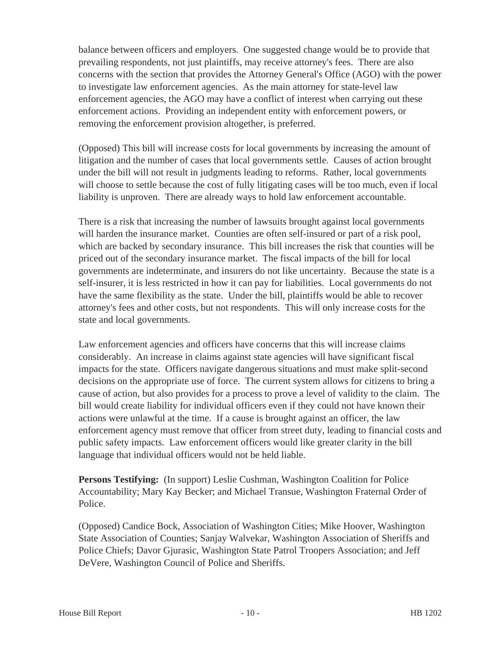balance between officers and employers. One suggested change would be to provide that prevailing respondents, not just plaintiffs, may receive attorney's fees. There are also concerns with the section that provides the Attorney General's Office (AGO) with the power to investigate law enforcement agencies. As the main attorney for state-level law enforcement agencies, the AGO may have a conflict of interest when carrying out these enforcement actions. Providing an independent entity with enforcement powers, or removing the enforcement provision altogether, is preferred.

(Opposed) This bill will increase costs for local governments by increasing the amount of litigation and the number of cases that local governments settle. Causes of action brought under the bill will not result in judgments leading to reforms. Rather, local governments will choose to settle because the cost of fully litigating cases will be too much, even if local liability is unproven. There are already ways to hold law enforcement accountable.

There is a risk that increasing the number of lawsuits brought against local governments will harden the insurance market. Counties are often self-insured or part of a risk pool, which are backed by secondary insurance. This bill increases the risk that counties will be priced out of the secondary insurance market. The fiscal impacts of the bill for local governments are indeterminate, and insurers do not like uncertainty. Because the state is a self-insurer, it is less restricted in how it can pay for liabilities. Local governments do not have the same flexibility as the state. Under the bill, plaintiffs would be able to recover attorney's fees and other costs, but not respondents. This will only increase costs for the state and local governments.

Law enforcement agencies and officers have concerns that this will increase claims considerably. An increase in claims against state agencies will have significant fiscal impacts for the state. Officers navigate dangerous situations and must make split-second decisions on the appropriate use of force. The current system allows for citizens to bring a cause of action, but also provides for a process to prove a level of validity to the claim. The bill would create liability for individual officers even if they could not have known their actions were unlawful at the time. If a cause is brought against an officer, the law enforcement agency must remove that officer from street duty, leading to financial costs and public safety impacts. Law enforcement officers would like greater clarity in the bill language that individual officers would not be held liable.

**Persons Testifying:** (In support) Leslie Cushman, Washington Coalition for Police Accountability; Mary Kay Becker; and Michael Transue, Washington Fraternal Order of Police.

(Opposed) Candice Bock, Association of Washington Cities; Mike Hoover, Washington State Association of Counties; Sanjay Walvekar, Washington Association of Sheriffs and Police Chiefs; Davor Gjurasic, Washington State Patrol Troopers Association; and Jeff DeVere, Washington Council of Police and Sheriffs.